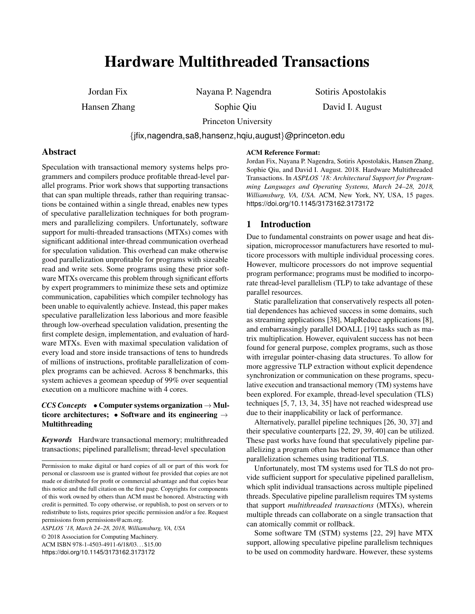# Hardware Multithreaded Transactions

Jordan Fix Nayana P. Nagendra Sotiris Apostolakis

Hansen Zhang Sophie Qiu David I. August

Princeton University

*{*jfix,nagendra,sa8,hansenz,hqiu,august*}*@princeton.edu

## Abstract

Speculation with transactional memory systems helps programmers and compilers produce profitable thread-level parallel programs. Prior work shows that supporting transactions that can span multiple threads, rather than requiring transactions be contained within a single thread, enables new types of speculative parallelization techniques for both programmers and parallelizing compilers. Unfortunately, software support for multi-threaded transactions (MTXs) comes with significant additional inter-thread communication overhead for speculation validation. This overhead can make otherwise good parallelization unprofitable for programs with sizeable read and write sets. Some programs using these prior software MTXs overcame this problem through significant efforts by expert programmers to minimize these sets and optimize communication, capabilities which compiler technology has been unable to equivalently achieve. Instead, this paper makes speculative parallelization less laborious and more feasible through low-overhead speculation validation, presenting the first complete design, implementation, and evaluation of hardware MTXs. Even with maximal speculation validation of every load and store inside transactions of tens to hundreds of millions of instructions, profitable parallelization of complex programs can be achieved. Across 8 benchmarks, this system achieves a geomean speedup of 99% over sequential execution on a multicore machine with 4 cores.

# *CCS Concepts*  $\bullet$  Computer systems organization  $\rightarrow$  Multicore architectures; • Software and its engineering  $\rightarrow$ Multithreading

*Keywords* Hardware transactional memory; multithreaded transactions; pipelined parallelism; thread-level speculation

*ASPLOS '18, March 24–28, 2018, Williamsburg, VA, USA*

© 2018 Association for Computing Machinery. ACM ISBN 978-1-4503-4911-6/18/03. . . \$15.00 https://doi.org/10.1145/3173162.3173172

#### ACM Reference Format:

Jordan Fix, Nayana P. Nagendra, Sotiris Apostolakis, Hansen Zhang, Sophie Qiu, and David I. August. 2018. Hardware Multithreaded Transactions. In *ASPLOS '18: Architectural Support for Programming Languages and Operating Systems, March 24–28, 2018, Williamsburg, VA, USA.* ACM, New York, NY, USA, 15 pages. https://doi.org/10.1145/3173162.3173172

# 1 Introduction

Due to fundamental constraints on power usage and heat dissipation, microprocessor manufacturers have resorted to multicore processors with multiple individual processing cores. However, multicore processors do not improve sequential program performance; programs must be modified to incorporate thread-level parallelism (TLP) to take advantage of these parallel resources.

Static parallelization that conservatively respects all potential dependences has achieved success in some domains, such as streaming applications [38], MapReduce applications [8], and embarrassingly parallel DOALL [19] tasks such as matrix multiplication. However, equivalent success has not been found for general purpose, complex programs, such as those with irregular pointer-chasing data structures. To allow for more aggressive TLP extraction without explicit dependence synchronization or communication on these programs, speculative execution and transactional memory (TM) systems have been explored. For example, thread-level speculation (TLS) techniques [5, 7, 13, 34, 35] have not reached widespread use due to their inapplicability or lack of performance.

Alternatively, parallel pipeline techniques [26, 30, 37] and their speculative counterparts [22, 29, 39, 40] can be utilized. These past works have found that speculatively pipeline parallelizing a program often has better performance than other parallelization schemes using traditional TLS.

Unfortunately, most TM systems used for TLS do not provide sufficient support for speculative pipelined parallelism, which split individual transactions across multiple pipelined threads. Speculative pipeline parallelism requires TM systems that support *multithreaded transactions* (MTXs), wherein multiple threads can collaborate on a single transaction that can atomically commit or rollback.

Some software TM (STM) systems [22, 29] have MTX support, allowing speculative pipeline parallelism techniques to be used on commodity hardware. However, these systems

Permission to make digital or hard copies of all or part of this work for personal or classroom use is granted without fee provided that copies are not made or distributed for profit or commercial advantage and that copies bear this notice and the full citation on the first page. Copyrights for components of this work owned by others than ACM must be honored. Abstracting with credit is permitted. To copy otherwise, or republish, to post on servers or to redistribute to lists, requires prior specific permission and/or a fee. Request permissions from permissions@acm.org.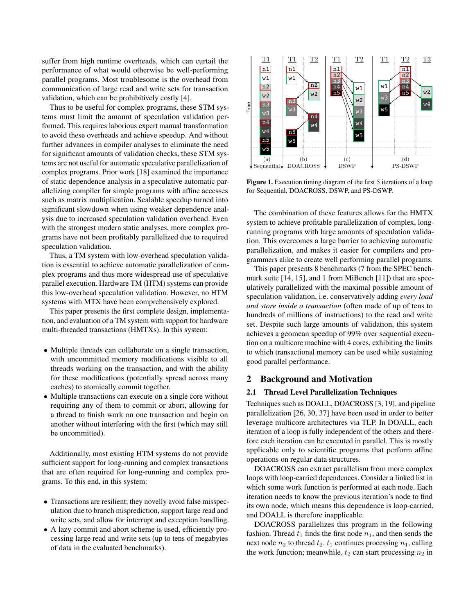suffer from high runtime overheads, which can curtail the performance of what would otherwise be well-performing parallel programs. Most troublesome is the overhead from communication of large read and write sets for transaction validation, which can be prohibitively costly [4].

Thus to be useful for complex programs, these STM systems must limit the amount of speculation validation performed. This requires laborious expert manual transformation to avoid these overheads and achieve speedup. And without further advances in compiler analyses to eliminate the need for significant amounts of validation checks, these STM systems are not useful for automatic speculative parallelization of complex programs. Prior work [18] examined the importance of static dependence analysis in a speculative automatic parallelizing compiler for simple programs with affine accesses such as matrix multiplication. Scalable speedup turned into significant slowdown when using weaker dependence analysis due to increased speculation validation overhead. Even with the strongest modern static analyses, more complex programs have not been profitably parallelized due to required speculation validation.

Thus, a TM system with low-overhead speculation validation is essential to achieve automatic parallelization of complex programs and thus more widespread use of speculative parallel execution. Hardware TM (HTM) systems can provide this low-overhead speculation validation. However, no HTM systems with MTX have been comprehensively explored.

This paper presents the first complete design, implementation, and evaluation of a TM system with support for hardware multi-threaded transactions (HMTXs). In this system:

- *•* Multiple threads can collaborate on a single transaction, with uncommitted memory modifications visible to all threads working on the transaction, and with the ability for these modifications (potentially spread across many caches) to atomically commit together.
- *•* Multiple transactions can execute on a single core without requiring any of them to commit or abort, allowing for a thread to finish work on one transaction and begin on another without interfering with the first (which may still be uncommitted).

Additionally, most existing HTM systems do not provide sufficient support for long-running and complex transactions that are often required for long-running and complex programs. To this end, in this system:

- *•* Transactions are resilient; they novelly avoid false misspeculation due to branch misprediction, support large read and write sets, and allow for interrupt and exception handling.
- *•* A lazy commit and abort scheme is used, efficiently processing large read and write sets (up to tens of megabytes of data in the evaluated benchmarks).



Figure 1. Execution timing diagram of the first 5 iterations of a loop for Sequential, DOACROSS, DSWP, and PS-DSWP.

The combination of these features allows for the HMTX system to achieve profitable parallelization of complex, longrunning programs with large amounts of speculation validation. This overcomes a large barrier to achieving automatic parallelization, and makes it easier for compilers and programmers alike to create well performing parallel programs.

This paper presents 8 benchmarks (7 from the SPEC benchmark suite [14, 15], and 1 from MiBench [11]) that are speculatively parallelized with the maximal possible amount of speculation validation, i.e. conservatively adding *every load and store inside a transaction* (often made of up of tens to hundreds of millions of instructions) to the read and write set. Despite such large amounts of validation, this system achieves a geomean speedup of 99% over sequential execution on a multicore machine with 4 cores, exhibiting the limits to which transactional memory can be used while sustaining good parallel performance.

# 2 Background and Motivation

#### 2.1 Thread Level Parallelization Techniques

Techniques such as DOALL, DOACROSS [3, 19], and pipeline parallelization [26, 30, 37] have been used in order to better leverage multicore architectures via TLP. In DOALL, each iteration of a loop is fully independent of the others and therefore each iteration can be executed in parallel. This is mostly applicable only to scientific programs that perform affine operations on regular data structures.

DOACROSS can extract parallelism from more complex loops with loop-carried dependences. Consider a linked list in which some work function is performed at each node. Each iteration needs to know the previous iteration's node to find its own node, which means this dependence is loop-carried, and DOALL is therefore inapplicable.

DOACROSS parallelizes this program in the following fashion. Thread  $t_1$  finds the first node  $n_1$ , and then sends the next node  $n_2$  to thread  $t_2$ .  $t_1$  continues processing  $n_1$ , calling the work function; meanwhile,  $t_2$  can start processing  $n_2$  in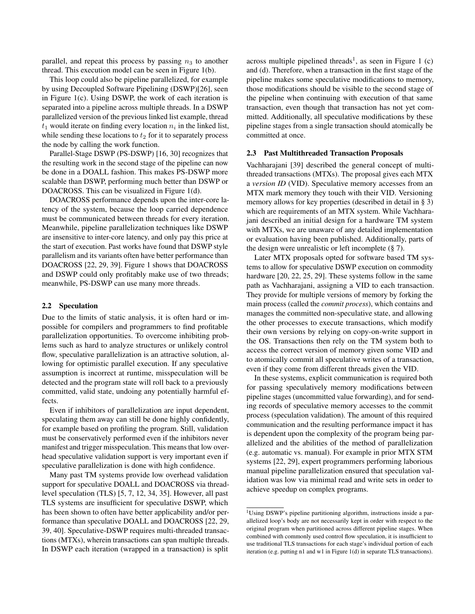parallel, and repeat this process by passing  $n_3$  to another thread. This execution model can be seen in Figure 1(b).

This loop could also be pipeline parallelized, for example by using Decoupled Software Pipelining (DSWP)[26], seen in Figure 1(c). Using DSWP, the work of each iteration is separated into a pipeline across multiple threads. In a DSWP parallelized version of the previous linked list example, thread  $t_1$  would iterate on finding every location  $n_i$  in the linked list, while sending these locations to  $t_2$  for it to separately process the node by calling the work function.

Parallel-Stage DSWP (PS-DSWP) [16, 30] recognizes that the resulting work in the second stage of the pipeline can now be done in a DOALL fashion. This makes PS-DSWP more scalable than DSWP, performing much better than DSWP or DOACROSS. This can be visualized in Figure 1(d).

DOACROSS performance depends upon the inter-core latency of the system, because the loop carried dependence must be communicated between threads for every iteration. Meanwhile, pipeline parallelization techniques like DSWP are insensitive to inter-core latency, and only pay this price at the start of execution. Past works have found that DSWP style parallelism and its variants often have better performance than DOACROSS [22, 29, 39]. Figure 1 shows that DOACROSS and DSWP could only profitably make use of two threads; meanwhile, PS-DSWP can use many more threads.

#### 2.2 Speculation

Due to the limits of static analysis, it is often hard or impossible for compilers and programmers to find profitable parallelization opportunities. To overcome inhibiting problems such as hard to analyze structures or unlikely control flow, speculative parallelization is an attractive solution, allowing for optimistic parallel execution. If any speculative assumption is incorrect at runtime, misspeculation will be detected and the program state will roll back to a previously committed, valid state, undoing any potentially harmful effects.

Even if inhibitors of parallelization are input dependent, speculating them away can still be done highly confidently, for example based on profiling the program. Still, validation must be conservatively performed even if the inhibitors never manifest and trigger misspeculation. This means that low overhead speculative validation support is very important even if speculative parallelization is done with high confidence.

Many past TM systems provide low overhead validation support for speculative DOALL and DOACROSS via threadlevel speculation (TLS) [5, 7, 12, 34, 35]. However, all past TLS systems are insufficient for speculative DSWP, which has been shown to often have better applicability and/or performance than speculative DOALL and DOACROSS [22, 29, 39, 40]. Speculative-DSWP requires multi-threaded transactions (MTXs), wherein transactions can span multiple threads. In DSWP each iteration (wrapped in a transaction) is split

across multiple pipelined threads<sup>1</sup>, as seen in Figure 1 (c) and (d). Therefore, when a transaction in the first stage of the pipeline makes some speculative modifications to memory, those modifications should be visible to the second stage of the pipeline when continuing with execution of that same transaction, even though that transaction has not yet committed. Additionally, all speculative modifications by these pipeline stages from a single transaction should atomically be committed at once.

#### 2.3 Past Multithreaded Transaction Proposals

Vachharajani [39] described the general concept of multithreaded transactions (MTXs). The proposal gives each MTX a *version ID* (VID). Speculative memory accesses from an MTX mark memory they touch with their VID. Versioning memory allows for key properties (described in detail in § 3) which are requirements of an MTX system. While Vachharajani described an initial design for a hardware TM system with MTXs, we are unaware of any detailed implementation or evaluation having been published. Additionally, parts of the design were unrealistic or left incomplete  $(\S 7)$ .

Later MTX proposals opted for software based TM systems to allow for speculative DSWP execution on commodity hardware [20, 22, 25, 29]. These systems follow in the same path as Vachharajani, assigning a VID to each transaction. They provide for multiple versions of memory by forking the main process (called the *commit process*), which contains and manages the committed non-speculative state, and allowing the other processes to execute transactions, which modify their own versions by relying on copy-on-write support in the OS. Transactions then rely on the TM system both to access the correct version of memory given some VID and to atomically commit all speculative writes of a transaction, even if they come from different threads given the VID.

In these systems, explicit communication is required both for passing speculatively memory modifications between pipeline stages (uncommitted value forwarding), and for sending records of speculative memory accesses to the commit process (speculation validation). The amount of this required communication and the resulting performance impact it has is dependent upon the complexity of the program being parallelized and the abilities of the method of parallelization (e.g. automatic vs. manual). For example in prior MTX STM systems [22, 29], expert programmers performing laborious manual pipeline parallelization ensured that speculation validation was low via minimal read and write sets in order to achieve speedup on complex programs.

<sup>&</sup>lt;sup>1</sup>Using DSWP's pipeline partitioning algorithm, instructions inside a parallelized loop's body are not necessarily kept in order with respect to the original program when partitioned across different pipeline stages. When combined with commonly used control flow speculation, it is insufficient to use traditional TLS transactions for each stage's individual portion of each iteration (e.g. putting n1 and w1 in Figure 1(d) in separate TLS transactions).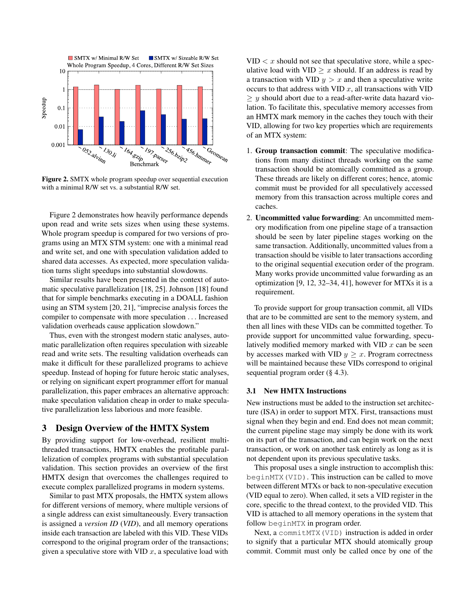

with a minimal R/W set vs. a substantial R/W set.

Figure 2 demonstrates how heavily performance depends upon read and write sets sizes when using these systems. Whole program speedup is compared for two versions of programs using an MTX STM system: one with a minimal read and write set, and one with speculation validation added to shared data accesses. As expected, more speculation validation turns slight speedups into substantial slowdowns.

Similar results have been presented in the context of automatic speculative parallelization [18, 25]. Johnson [18] found that for simple benchmarks executing in a DOALL fashion using an STM system [20, 21], "imprecise analysis forces the compiler to compensate with more speculation *...* Increased validation overheads cause application slowdown."

Thus, even with the strongest modern static analyses, automatic parallelization often requires speculation with sizeable read and write sets. The resulting validation overheads can make it difficult for these parallelized programs to achieve speedup. Instead of hoping for future heroic static analyses, or relying on significant expert programmer effort for manual parallelization, this paper embraces an alternative approach: make speculation validation cheap in order to make speculative parallelization less laborious and more feasible.

# 3 Design Overview of the HMTX System

By providing support for low-overhead, resilient multithreaded transactions, HMTX enables the profitable parallelization of complex programs with substantial speculation validation. This section provides an overview of the first HMTX design that overcomes the challenges required to execute complex parallelized programs in modern systems.

Similar to past MTX proposals, the HMTX system allows for different versions of memory, where multiple versions of a single address can exist simultaneously. Every transaction is assigned a *version ID* (*VID*), and all memory operations inside each transaction are labeled with this VID. These VIDs correspond to the original program order of the transactions; given a speculative store with VID *x*, a speculative load with

 $VID < x$  should not see that speculative store, while a speculative load with VID  $\geq x$  should. If an address is read by a transaction with VID  $y > x$  and then a speculative write occurs to that address with VID  $x$ , all transactions with VID  $\geq$  *y* should abort due to a read-after-write data hazard violation. To facilitate this, speculative memory accesses from an HMTX mark memory in the caches they touch with their VID, allowing for two key properties which are requirements of an MTX system:

- 1. Group transaction commit: The speculative modifications from many distinct threads working on the same transaction should be atomically committed as a group. These threads are likely on different cores; hence, atomic commit must be provided for all speculatively accessed memory from this transaction across multiple cores and caches.
- 2. Uncommitted value forwarding: An uncommitted memory modification from one pipeline stage of a transaction should be seen by later pipeline stages working on the same transaction. Additionally, uncommitted values from a transaction should be visible to later transactions according to the original sequential execution order of the program. Many works provide uncommitted value forwarding as an optimization [9, 12, 32–34, 41], however for MTXs it is a requirement.

To provide support for group transaction commit, all VIDs that are to be committed are sent to the memory system, and then all lines with these VIDs can be committed together. To provide support for uncommitted value forwarding, speculatively modified memory marked with VID *x* can be seen by accesses marked with VID  $y \geq x$ . Program correctness will be maintained because these VIDs correspond to original sequential program order (§ 4.3).

#### 3.1 New HMTX Instructions

New instructions must be added to the instruction set architecture (ISA) in order to support MTX. First, transactions must signal when they begin and end. End does not mean commit; the current pipeline stage may simply be done with its work on its part of the transaction, and can begin work on the next transaction, or work on another task entirely as long as it is not dependent upon its previous speculative tasks.

This proposal uses a single instruction to accomplish this: beginMTX(VID). This instruction can be called to move between different MTXs or back to non-speculative execution (VID equal to zero). When called, it sets a VID register in the core, specific to the thread context, to the provided VID. This VID is attached to all memory operations in the system that follow beginMTX in program order.

Next, a commitMTX (VID) instruction is added in order to signify that a particular MTX should atomically group commit. Commit must only be called once by one of the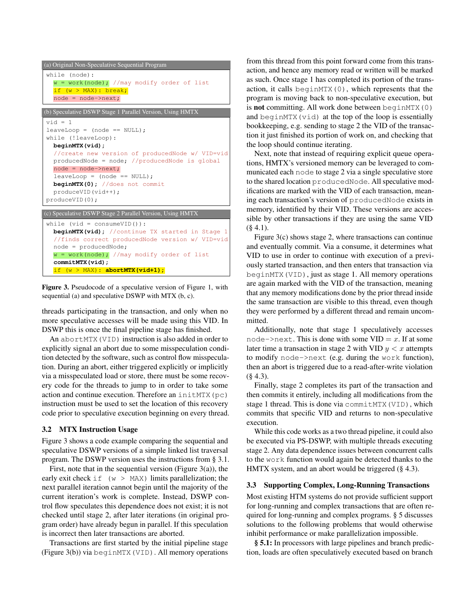| (a) Original Non-Speculative Sequential Program                                      |  |  |  |  |  |  |
|--------------------------------------------------------------------------------------|--|--|--|--|--|--|
| while (node):                                                                        |  |  |  |  |  |  |
| $w = work(node)$ ; //may modify order of list                                        |  |  |  |  |  |  |
| if $(w > MAX)$ : break;<br>$node = node->next;$                                      |  |  |  |  |  |  |
|                                                                                      |  |  |  |  |  |  |
| (b) Speculative DSWP Stage 1 Parallel Version, Using HMTX                            |  |  |  |  |  |  |
| $vid = 1$                                                                            |  |  |  |  |  |  |
| $leaveLoop = (node == NULL);$                                                        |  |  |  |  |  |  |
| while (!leaveLoop):                                                                  |  |  |  |  |  |  |
| beginMTX(vid);                                                                       |  |  |  |  |  |  |
| //create new version of producedNode w/ VID=vid                                      |  |  |  |  |  |  |
| producedNode = node; //producedNode is qlobal                                        |  |  |  |  |  |  |
| $node = node->next;$                                                                 |  |  |  |  |  |  |
| $leaveLoop = (node == NULL)$ ;                                                       |  |  |  |  |  |  |
| $begin{bmatrix} \text{begin} NTX(0) \\ \text{close} \end{bmatrix}$ //does not commit |  |  |  |  |  |  |
| produceVID(vid++);                                                                   |  |  |  |  |  |  |
| produceVID(0);                                                                       |  |  |  |  |  |  |
| (c) Speculative DSWP Stage 2 Parallel Version, Using HMTX                            |  |  |  |  |  |  |
| while $(vid = consumerVID())$ :                                                      |  |  |  |  |  |  |
| <b>beginMTX(vid);</b> //continue TX started in Stage 1                               |  |  |  |  |  |  |
| //finds correct producedNode version w/ VID=vid                                      |  |  |  |  |  |  |
| $node = producedNode;$                                                               |  |  |  |  |  |  |
| $w = work(node)$ ; //may modify order of list                                        |  |  |  |  |  |  |
| commitMTX(vid);                                                                      |  |  |  |  |  |  |
| if $(w > MAX)$ : abortMTX(vid+1);                                                    |  |  |  |  |  |  |

Figure 3. Pseudocode of a speculative version of Figure 1, with sequential (a) and speculative DSWP with MTX (b, c).

threads participating in the transaction, and only when no more speculative accesses will be made using this VID. In DSWP this is once the final pipeline stage has finished.

An abortMTX(VID) instruction is also added in order to explicitly signal an abort due to some misspeculation condition detected by the software, such as control flow misspeculation. During an abort, either triggered explicitly or implicitly via a misspeculated load or store, there must be some recovery code for the threads to jump to in order to take some action and continue execution. Therefore an initMTX(pc) instruction must be used to set the location of this recovery code prior to speculative execution beginning on every thread.

#### 3.2 MTX Instruction Usage

Figure 3 shows a code example comparing the sequential and speculative DSWP versions of a simple linked list traversal program. The DSWP version uses the instructions from § 3.1.

First, note that in the sequential version (Figure 3(a)), the early exit check if ( $w > MAX$ ) limits parallelization; the next parallel iteration cannot begin until the majority of the current iteration's work is complete. Instead, DSWP control flow speculates this dependence does not exist; it is not checked until stage 2, after later iterations (in original program order) have already begun in parallel. If this speculation is incorrect then later transactions are aborted.

Transactions are first started by the initial pipeline stage (Figure 3(b)) via beginMTX(VID). All memory operations

from this thread from this point forward come from this transaction, and hence any memory read or written will be marked as such. Once stage 1 has completed its portion of the transaction, it calls beginMTX(0), which represents that the program is moving back to non-speculative execution, but is **not** committing. All work done between beginMTX $(0)$ and beginMTX(vid) at the top of the loop is essentially bookkeeping, e.g. sending to stage 2 the VID of the transaction it just finished its portion of work on, and checking that the loop should continue iterating.

Next, note that instead of requiring explicit queue operations, HMTX's versioned memory can be leveraged to communicated each node to stage 2 via a single speculative store to the shared location producedNode. All speculative modifications are marked with the VID of each transaction, meaning each transaction's version of producedNode exists in memory, identified by their VID. These versions are accessible by other transactions if they are using the same VID  $(\S$  4.1).

Figure 3(c) shows stage 2, where transactions can continue and eventually commit. Via a consume, it determines what VID to use in order to continue with execution of a previously started transaction, and then enters that transaction via beginMTX(VID), just as stage 1. All memory operations are again marked with the VID of the transaction, meaning that any memory modifications done by the prior thread inside the same transaction are visible to this thread, even though they were performed by a different thread and remain uncommitted.

Additionally, note that stage 1 speculatively accesses node->next. This is done with some  $VID = x$ . If at some later time a transaction in stage 2 with VID  $y < x$  attempts to modify node->next (e.g. during the work function), then an abort is triggered due to a read-after-write violation  $(§ 4.3).$ 

Finally, stage 2 completes its part of the transaction and then commits it entirely, including all modifications from the stage 1 thread. This is done via commitMTX(VID), which commits that specific VID and returns to non-speculative execution.

While this code works as a two thread pipeline, it could also be executed via PS-DSWP, with multiple threads executing stage 2. Any data dependence issues between concurrent calls to the work function would again be detected thanks to the HMTX system, and an abort would be triggered (§ 4.3).

#### 3.3 Supporting Complex, Long-Running Transactions

Most existing HTM systems do not provide sufficient support for long-running and complex transactions that are often required for long-running and complex programs. § 5 discusses solutions to the following problems that would otherwise inhibit performance or make parallelization impossible.

§ 5.1: In processors with large pipelines and branch prediction, loads are often speculatively executed based on branch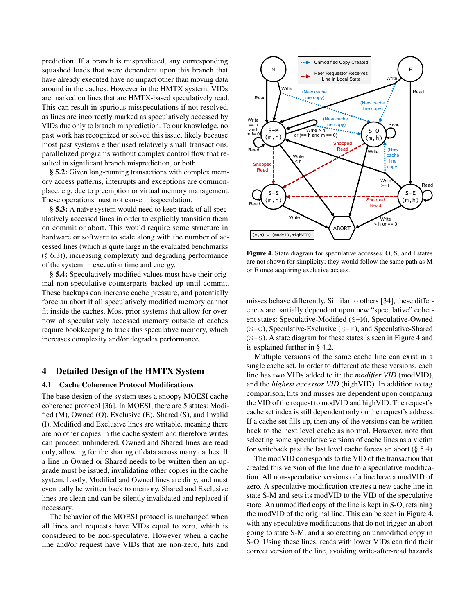prediction. If a branch is mispredicted, any corresponding squashed loads that were dependent upon this branch that have already executed have no impact other than moving data around in the caches. However in the HMTX system, VIDs are marked on lines that are HMTX-based speculatively read. This can result in spurious misspeculations if not resolved, as lines are incorrectly marked as speculatively accessed by VIDs due only to branch misprediction. To our knowledge, no past work has recognized or solved this issue, likely because most past systems either used relatively small transactions, parallelized programs without complex control flow that resulted in significant branch misprediction, or both.

§ 5.2: Given long-running transactions with complex memory access patterns, interrupts and exceptions are commonplace, e.g. due to preemption or virtual memory management. These operations must not cause misspeculation.

§ 5.3: A naïve system would need to keep track of all speculatively accessed lines in order to explicitly transition them on commit or abort. This would require some structure in hardware or software to scale along with the number of accessed lines (which is quite large in the evaluated benchmarks (§ 6.3)), increasing complexity and degrading performance of the system in execution time and energy.

§ 5.4: Speculatively modified values must have their original non-speculative counterparts backed up until commit. These backups can increase cache pressure, and potentially force an abort if all speculatively modified memory cannot fit inside the caches. Most prior systems that allow for overflow of speculatively accessed memory outside of caches require bookkeeping to track this speculative memory, which increases complexity and/or degrades performance.

# 4 Detailed Design of the HMTX System

#### 4.1 Cache Coherence Protocol Modifications

The base design of the system uses a snoopy MOESI cache coherence protocol [36]. In MOESI, there are 5 states: Modified (M), Owned (O), Exclusive (E), Shared (S), and Invalid (I). Modified and Exclusive lines are writable, meaning there are no other copies in the cache system and therefore writes can proceed unhindered. Owned and Shared lines are read only, allowing for the sharing of data across many caches. If a line in Owned or Shared needs to be written then an upgrade must be issued, invalidating other copies in the cache system. Lastly, Modified and Owned lines are dirty, and must eventually be written back to memory. Shared and Exclusive lines are clean and can be silently invalidated and replaced if necessary.

The behavior of the MOESI protocol is unchanged when all lines and requests have VIDs equal to zero, which is considered to be non-speculative. However when a cache line and/or request have VIDs that are non-zero, hits and



Figure 4. State diagram for speculative accesses. O, S, and I states are not shown for simplicity; they would follow the same path as M or E once acquiring exclusive access.

misses behave differently. Similar to others [34], these differences are partially dependent upon new "speculative" coherent states: Speculative-Modified (S-M), Speculative-Owned (S-O), Speculative-Exclusive (S-E), and Speculative-Shared (S-S). A state diagram for these states is seen in Figure 4 and is explained further in § 4.2.

Multiple versions of the same cache line can exist in a single cache set. In order to differentiate these versions, each line has two VIDs added to it: the *modifier VID* (modVID), and the *highest accessor VID* (highVID). In addition to tag comparison, hits and misses are dependent upon comparing the VID of the request to modVID and highVID. The request's cache set index is still dependent only on the request's address. If a cache set fills up, then any of the versions can be written back to the next level cache as normal. However, note that selecting some speculative versions of cache lines as a victim for writeback past the last level cache forces an abort (§ 5.4).

The modVID corresponds to the VID of the transaction that created this version of the line due to a speculative modification. All non-speculative versions of a line have a modVID of zero. A speculative modification creates a new cache line in state S-M and sets its modVID to the VID of the speculative store. An unmodified copy of the line is kept in S-O, retaining the modVID of the original line. This can be seen in Figure 4, with any speculative modifications that do not trigger an abort going to state S-M, and also creating an unmodified copy in S-O. Using these lines, reads with lower VIDs can find their correct version of the line, avoiding write-after-read hazards.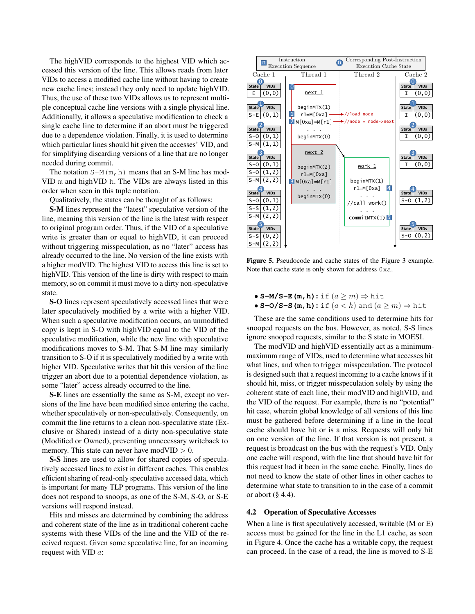The highVID corresponds to the highest VID which accessed this version of the line. This allows reads from later VIDs to access a modified cache line without having to create new cache lines; instead they only need to update highVID. Thus, the use of these two VIDs allows us to represent multiple conceptual cache line versions with a single physical line. Additionally, it allows a speculative modification to check a single cache line to determine if an abort must be triggered due to a dependence violation. Finally, it is used to determine which particular lines should hit given the accesses' VID, and for simplifying discarding versions of a line that are no longer needed during commit.

The notation  $S-M(m,h)$  means that an S-M line has mod-VID m and highVID h. The VIDs are always listed in this order when seen in this tuple notation.

Qualitatively, the states can be thought of as follows:

S-M lines represent the "latest" speculative version of the line, meaning this version of the line is the latest with respect to original program order. Thus, if the VID of a speculative write is greater than or equal to highVID, it can proceed without triggering misspeculation, as no "later" access has already occurred to the line. No version of the line exists with a higher modVID. The highest VID to access this line is set to highVID. This version of the line is dirty with respect to main memory, so on commit it must move to a dirty non-speculative state.

S-O lines represent speculatively accessed lines that were later speculatively modified by a write with a higher VID. When such a speculative modification occurs, an unmodified copy is kept in S-O with highVID equal to the VID of the speculative modification, while the new line with speculative modifications moves to S-M. That S-M line may similarly transition to S-O if it is speculatively modified by a write with higher VID. Speculative writes that hit this version of the line trigger an abort due to a potential dependence violation, as some "later" access already occurred to the line.

S-E lines are essentially the same as S-M, except no versions of the line have been modified since entering the cache, whether speculatively or non-speculatively. Consequently, on commit the line returns to a clean non-speculative state (Exclusive or Shared) instead of a dirty non-speculative state (Modified or Owned), preventing unnecessary writeback to memory. This state can never have modVID *>* 0.

S-S lines are used to allow for shared copies of speculatively accessed lines to exist in different caches. This enables efficient sharing of read-only speculative accessed data, which is important for many TLP programs. This version of the line does not respond to snoops, as one of the S-M, S-O, or S-E versions will respond instead.

Hits and misses are determined by combining the address and coherent state of the line as in traditional coherent cache systems with these VIDs of the line and the VID of the received request. Given some speculative line, for an incoming request with VID *a*:



Figure 5. Pseudocode and cache states of the Figure 3 example. Note that cache state is only shown for address 0xa.

- **S-M/S-E(m, h):** if  $(a \ge m) \Rightarrow$  hit
- **S-O/S-S(m, h):** if  $(a < h)$  and  $(a \ge m) \Rightarrow$  hit

These are the same conditions used to determine hits for snooped requests on the bus. However, as noted, S-S lines ignore snooped requests, similar to the S state in MOESI.

The modVID and highVID essentially act as a minimummaximum range of VIDs, used to determine what accesses hit what lines, and when to trigger misspeculation. The protocol is designed such that a request incoming to a cache knows if it should hit, miss, or trigger misspeculation solely by using the coherent state of each line, their modVID and highVID, and the VID of the request. For example, there is no "potential" hit case, wherein global knowledge of all versions of this line must be gathered before determining if a line in the local cache should have hit or is a miss. Requests will only hit on one version of the line. If that version is not present, a request is broadcast on the bus with the request's VID. Only one cache will respond, with the line that should have hit for this request had it been in the same cache. Finally, lines do not need to know the state of other lines in other caches to determine what state to transition to in the case of a commit or abort  $(\S 4.4)$ .

#### 4.2 Operation of Speculative Accesses

When a line is first speculatively accessed, writable (M or E) access must be gained for the line in the L1 cache, as seen in Figure 4. Once the cache has a writable copy, the request can proceed. In the case of a read, the line is moved to S-E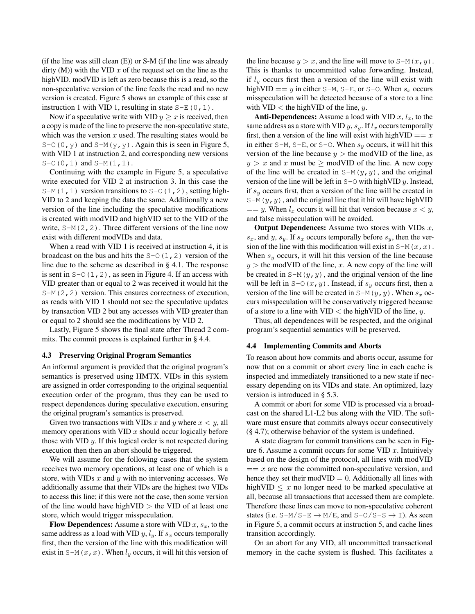(if the line was still clean  $(E)$ ) or S-M (if the line was already dirty  $(M)$ ) with the VID  $x$  of the request set on the line as the high VID. mod VID is left as zero because this is a read, so the non-speculative version of the line feeds the read and no new version is created. Figure 5 shows an example of this case at instruction 1 with VID 1, resulting in state  $S-E(0,1)$ .

Now if a speculative write with VID  $y > x$  is received, then a copy is made of the line to preserve the non-speculative state, which was the version *x* used. The resulting states would be S-O(0, y) and S-M(y, y). Again this is seen in Figure 5, with VID 1 at instruction 2, and corresponding new versions  $S-O(0, 1)$  and  $S-M(1, 1)$ .

Continuing with the example in Figure 5, a speculative write executed for VID 2 at instruction 3. In this case the S-M(1, 1) version transitions to S-O(1, 2), setting high-VID to 2 and keeping the data the same. Additionally a new version of the line including the speculative modifications is created with modVID and highVID set to the VID of the write,  $S-M(2, 2)$ . Three different versions of the line now exist with different modVIDs and data.

When a read with VID 1 is received at instruction 4, it is broadcast on the bus and hits the  $S-O(1, 2)$  version of the line due to the scheme as described in § 4.1. The response is sent in  $S-0(1, 2)$ , as seen in Figure 4. If an access with VID greater than or equal to 2 was received it would hit the S-M(2, 2) version. This ensures correctness of execution, as reads with VID 1 should not see the speculative updates by transaction VID 2 but any accesses with VID greater than or equal to 2 should see the modifications by VID 2.

Lastly, Figure 5 shows the final state after Thread 2 commits. The commit process is explained further in § 4.4.

#### 4.3 Preserving Original Program Semantics

An informal argument is provided that the original program's semantics is preserved using HMTX. VIDs in this system are assigned in order corresponding to the original sequential execution order of the program, thus they can be used to respect dependences during speculative execution, ensuring the original program's semantics is preserved.

Given two transactions with VIDs  $x$  and  $y$  where  $x < y$ , all memory operations with VID *x* should occur logically before those with VID *y*. If this logical order is not respected during execution then then an abort should be triggered.

We will assume for the following cases that the system receives two memory operations, at least one of which is a store, with VIDs *x* and *y* with no intervening accesses. We additionally assume that their VIDs are the highest two VIDs to access this line; if this were not the case, then some version of the line would have highVID *>* the VID of at least one store, which would trigger misspeculation.

Flow Dependences: Assume a store with VID  $x$ ,  $s_x$ , to the same address as a load with VID *y*, *ly*. If *s<sup>x</sup>* occurs temporally first, then the version of the line with this modification will exist in  $S-M(x, x)$ . When  $l_y$  occurs, it will hit this version of

the line because  $y > x$ , and the line will move to S-M(*x*, *y*). This is thanks to uncommitted value forwarding. Instead, if  $l_y$  occurs first then a version of the line will exist with highVID ==  $y$  in either S-M, S-E, or S-O. When  $s_x$  occurs misspeculation will be detected because of a store to a line with VID *<* the highVID of the line, *y*.

Anti-Dependences: Assume a load with VID *x*, *lx*, to the same address as a store with VID  $y$ ,  $s_y$ . If  $l_x$  occurs temporally first, then a version of the line will exist with high VID  $== x$ in either  $S-M$ ,  $S-E$ , or  $S-O$ . When  $s_y$  occurs, it will hit this version of the line because  $y >$  the modVID of the line, as  $y > x$  and x must be  $\geq$  modVID of the line. A new copy of the line will be created in  $S-M(y, y)$ , and the original version of the line will be left in S-O with highVID *y*. Instead, if  $s_y$  occurs first, then a version of the line will be created in  $S-M(y, y)$ , and the original line that it hit will have high VID  $=$  *y*. When  $l_x$  occurs it will hit that version because  $x < y$ , and false misspeculation will be avoided.

Output Dependences: Assume two stores with VIDs *x*,  $s_x$ , and *y*,  $s_y$ . If  $s_x$  occurs temporally before  $s_y$ , then the version of the line with this modification will exist in S-M(*x*,*x*). When  $s_y$  occurs, it will hit this version of the line because  $y >$  the modVID of the line, *x*. A new copy of the line will be created in  $S-M(y, y)$ , and the original version of the line will be left in  $S-O(x,y)$ . Instead, if  $s_y$  occurs first, then a version of the line will be created in  $S-M(y, y)$ . When  $s_x$  occurs misspeculation will be conservatively triggered because of a store to a line with VID *<* the highVID of the line, *y*.

Thus, all dependences will be respected, and the original program's sequential semantics will be preserved.

#### 4.4 Implementing Commits and Aborts

To reason about how commits and aborts occur, assume for now that on a commit or abort every line in each cache is inspected and immediately transitioned to a new state if necessary depending on its VIDs and state. An optimized, lazy version is introduced in § 5.3.

A commit or abort for some VID is processed via a broadcast on the shared L1-L2 bus along with the VID. The software must ensure that commits always occur consecutively (§ 4.7); otherwise behavior of the system is undefined.

A state diagram for commit transitions can be seen in Figure 6. Assume a commit occurs for some VID *x*. Intuitively based on the design of the protocol, all lines with modVID  $== x$  are now the committed non-speculative version, and hence they set their mod $VID = 0$ . Additionally all lines with highVID  $\leq x$  no longer need to be marked speculative at all, because all transactions that accessed them are complete. Therefore these lines can move to non-speculative coherent states (i.e.  $S-M/S-E \rightarrow M/E$ , and  $S-O/S-S \rightarrow I$ ). As seen in Figure 5, a commit occurs at instruction 5, and cache lines transition accordingly.

On an abort for any VID, all uncommitted transactional memory in the cache system is flushed. This facilitates a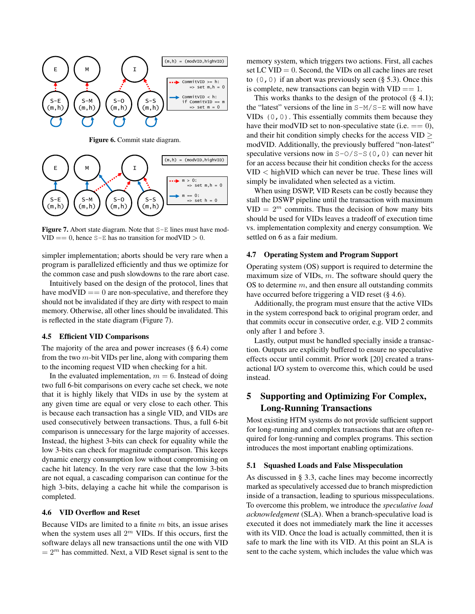

Figure 6. Commit state diagram.



Figure 7. Abort state diagram. Note that S-E lines must have mod-VID  $== 0$ , hence S-E has no transition for modVID  $> 0$ .

simpler implementation; aborts should be very rare when a program is parallelized efficiently and thus we optimize for the common case and push slowdowns to the rare abort case.

Intuitively based on the design of the protocol, lines that have mod $VID == 0$  are non-speculative, and therefore they should not be invalidated if they are dirty with respect to main memory. Otherwise, all other lines should be invalidated. This is reflected in the state diagram (Figure 7).

#### 4.5 Efficient VID Comparisons

The majority of the area and power increases  $(\S$  6.4) come from the two *m*-bit VIDs per line, along with comparing them to the incoming request VID when checking for a hit.

In the evaluated implementation,  $m = 6$ . Instead of doing two full 6-bit comparisons on every cache set check, we note that it is highly likely that VIDs in use by the system at any given time are equal or very close to each other. This is because each transaction has a single VID, and VIDs are used consecutively between transactions. Thus, a full 6-bit comparison is unnecessary for the large majority of accesses. Instead, the highest 3-bits can check for equality while the low 3-bits can check for magnitude comparison. This keeps dynamic energy consumption low without compromising on cache hit latency. In the very rare case that the low 3-bits are not equal, a cascading comparison can continue for the high 3-bits, delaying a cache hit while the comparison is completed.

# 4.6 VID Overflow and Reset

Because VIDs are limited to a finite *m* bits, an issue arises when the system uses all 2*<sup>m</sup>* VIDs. If this occurs, first the software delays all new transactions until the one with VID  $= 2<sup>m</sup>$  has committed. Next, a VID Reset signal is sent to the memory system, which triggers two actions. First, all caches set LC VID  $= 0$ . Second, the VIDs on all cache lines are reset to  $(0, 0)$  if an abort was previously seen  $(\S 5.3)$ . Once this is complete, new transactions can begin with  $VID = = 1$ .

This works thanks to the design of the protocol  $(\S$  4.1); the "latest" versions of the line in  $S-M/S-E$  will now have VIDs (0,0). This essentially commits them because they have their modVID set to non-speculative state (i.e.  $== 0$ ), and their hit condition simply checks for the access VID modVID. Additionally, the previously buffered "non-latest" speculative versions now in  $S-O/S-S(0, 0)$  can never hit for an access because their hit condition checks for the access VID *<* highVID which can never be true. These lines will simply be invalidated when selected as a victim.

When using DSWP, VID Resets can be costly because they stall the DSWP pipeline until the transaction with maximum  $VID = 2<sup>m</sup>$  commits. Thus the decision of how many bits should be used for VIDs leaves a tradeoff of execution time vs. implementation complexity and energy consumption. We settled on 6 as a fair medium.

#### 4.7 Operating System and Program Support

Operating system (OS) support is required to determine the maximum size of VIDs, *m*. The software should query the OS to determine *m*, and then ensure all outstanding commits have occurred before triggering a VID reset (§ 4.6).

Additionally, the program must ensure that the active VIDs in the system correspond back to original program order, and that commits occur in consecutive order, e.g. VID 2 commits only after 1 and before 3.

Lastly, output must be handled specially inside a transaction. Outputs are explicitly buffered to ensure no speculative effects occur until commit. Prior work [20] created a transactional I/O system to overcome this, which could be used instead.

# 5 Supporting and Optimizing For Complex, Long-Running Transactions

Most existing HTM systems do not provide sufficient support for long-running and complex transactions that are often required for long-running and complex programs. This section introduces the most important enabling optimizations.

#### 5.1 Squashed Loads and False Misspeculation

As discussed in § 3.3, cache lines may become incorrectly marked as speculatively accessed due to branch misprediction inside of a transaction, leading to spurious misspeculations. To overcome this problem, we introduce the *speculative load acknowledgment* (SLA). When a branch-speculative load is executed it does not immediately mark the line it accesses with its VID. Once the load is actually committed, then it is safe to mark the line with its VID. At this point an SLA is sent to the cache system, which includes the value which was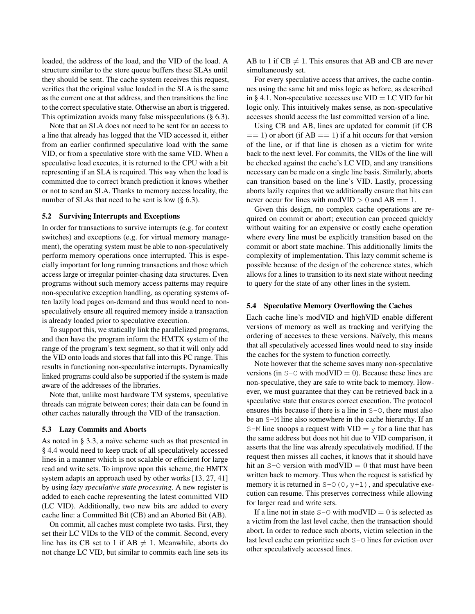loaded, the address of the load, and the VID of the load. A structure similar to the store queue buffers these SLAs until they should be sent. The cache system receives this request, verifies that the original value loaded in the SLA is the same as the current one at that address, and then transitions the line to the correct speculative state. Otherwise an abort is triggered. This optimization avoids many false misspeculations (§ 6.3).

Note that an SLA does not need to be sent for an access to a line that already has logged that the VID accessed it, either from an earlier confirmed speculative load with the same VID, or from a speculative store with the same VID. When a speculative load executes, it is returned to the CPU with a bit representing if an SLA is required. This way when the load is committed due to correct branch prediction it knows whether or not to send an SLA. Thanks to memory access locality, the number of SLAs that need to be sent is low (§ 6.3).

#### 5.2 Surviving Interrupts and Exceptions

In order for transactions to survive interrupts (e.g. for context switches) and exceptions (e.g. for virtual memory management), the operating system must be able to non-speculatively perform memory operations once interrupted. This is especially important for long running transactions and those which access large or irregular pointer-chasing data structures. Even programs without such memory access patterns may require non-speculative exception handling, as operating systems often lazily load pages on-demand and thus would need to nonspeculatively ensure all required memory inside a transaction is already loaded prior to speculative execution.

To support this, we statically link the parallelized programs, and then have the program inform the HMTX system of the range of the program's text segment, so that it will only add the VID onto loads and stores that fall into this PC range. This results in functioning non-speculative interrupts. Dynamically linked programs could also be supported if the system is made aware of the addresses of the libraries.

Note that, unlike most hardware TM systems, speculative threads can migrate between cores; their data can be found in other caches naturally through the VID of the transaction.

#### 5.3 Lazy Commits and Aborts

As noted in  $\S 3.3$ , a naïve scheme such as that presented in § 4.4 would need to keep track of all speculatively accessed lines in a manner which is not scalable or efficient for large read and write sets. To improve upon this scheme, the HMTX system adapts an approach used by other works [13, 27, 41] by using *lazy speculative state processing*. A new register is added to each cache representing the latest committed VID (LC VID). Additionally, two new bits are added to every cache line: a Committed Bit (CB) and an Aborted Bit (AB).

On commit, all caches must complete two tasks. First, they set their LC VIDs to the VID of the commit. Second, every line has its CB set to 1 if  $AB \neq 1$ . Meanwhile, aborts do not change LC VID, but similar to commits each line sets its AB to 1 if  $CB \neq 1$ . This ensures that AB and CB are never simultaneously set.

For every speculative access that arrives, the cache continues using the same hit and miss logic as before, as described in § 4.1. Non-speculative accesses use  $VID = LC VID$  for hit logic only. This intuitively makes sense, as non-speculative accesses should access the last committed version of a line.

Using CB and AB, lines are updated for commit (if CB  $=$  = 1) or abort (if AB = = 1) if a hit occurs for that version of the line, or if that line is chosen as a victim for write back to the next level. For commits, the VIDs of the line will be checked against the cache's LC VID, and any transitions necessary can be made on a single line basis. Similarly, aborts can transition based on the line's VID. Lastly, processing aborts lazily requires that we additionally ensure that hits can never occur for lines with modVID  $> 0$  and AB  $== 1$ .

Given this design, no complex cache operations are required on commit or abort; execution can proceed quickly without waiting for an expensive or costly cache operation where every line must be explicitly transition based on the commit or abort state machine. This additionally limits the complexity of implementation. This lazy commit scheme is possible because of the design of the coherence states, which allows for a lines to transition to its next state without needing to query for the state of any other lines in the system.

#### 5.4 Speculative Memory Overflowing the Caches

Each cache line's modVID and highVID enable different versions of memory as well as tracking and verifying the ordering of accesses to these versions. Naïvely, this means that all speculatively accessed lines would need to stay inside the caches for the system to function correctly.

Note however that the scheme saves many non-speculative versions (in  $S$ - $\circ$  with modVID = 0). Because these lines are non-speculative, they are safe to write back to memory. However, we must guarantee that they can be retrieved back in a speculative state that ensures correct execution. The protocol ensures this because if there is a line in S-O, there must also be an S-M line also somewhere in the cache hierarchy. If an S-M line snoops a request with  $VID = y$  for a line that has the same address but does not hit due to VID comparison, it asserts that the line was already speculatively modified. If the request then misses all caches, it knows that it should have hit an  $S$ - $\circ$  version with modVID = 0 that must have been written back to memory. Thus when the request is satisfied by memory it is returned in  $S-O(0, y+1)$ , and speculative execution can resume. This preserves correctness while allowing for larger read and write sets.

If a line not in state  $S$ -0 with modVID = 0 is selected as a victim from the last level cache, then the transaction should abort. In order to reduce such aborts, victim selection in the last level cache can prioritize such S-O lines for eviction over other speculatively accessed lines.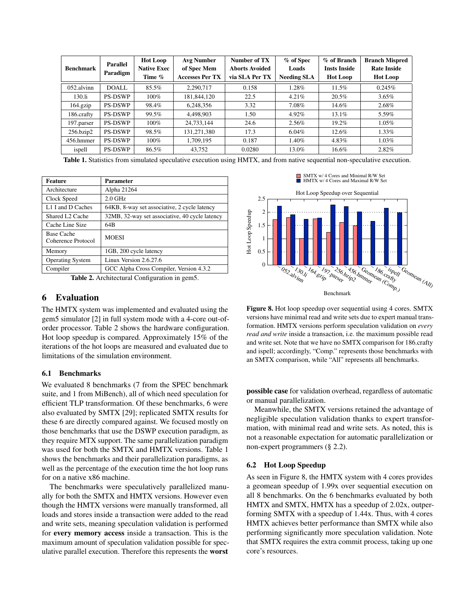| <b>Benchmark</b> | <b>Parallel</b><br>Paradigm | <b>Hot Loop</b><br><b>Native Exec</b><br>Time % | <b>Avg Number</b><br>of Spec Mem<br><b>Accesses Per TX</b> | Number of TX<br><b>Aborts Avoided</b><br>via SLA Per TX | % of Spec<br>Loads<br><b>Needing SLA</b> | % of Branch<br><b>Insts Inside</b><br><b>Hot Loop</b> | <b>Branch Mispred</b><br><b>Rate Inside</b><br><b>Hot Loop</b> |
|------------------|-----------------------------|-------------------------------------------------|------------------------------------------------------------|---------------------------------------------------------|------------------------------------------|-------------------------------------------------------|----------------------------------------------------------------|
|                  |                             |                                                 |                                                            |                                                         |                                          |                                                       |                                                                |
| 052.alvinn       | <b>DOALL</b>                | 85.5%                                           | 2.290.717                                                  | 0.158                                                   | 1.28%                                    | 11.5%                                                 | 0.245%                                                         |
| 130.li           | <b>PS-DSWP</b>              | 100%                                            | 181,844,120                                                | 22.5                                                    | 4.21%                                    | 20.5%                                                 | 3.65%                                                          |
| $164$ .gzip      | <b>PS-DSWP</b>              | 98.4%                                           | 6.248.356                                                  | 3.32                                                    | 7.08%                                    | 14.6%                                                 | 2.68%                                                          |
| 186.crafty       | <b>PS-DSWP</b>              | 99.5%                                           | 4.498.903                                                  | 1.50                                                    | 4.92%                                    | 13.1%                                                 | 5.59%                                                          |
| 197.parser       | <b>PS-DSWP</b>              | 100%                                            | 24,733,144                                                 | 24.6                                                    | 2.56%                                    | $19.2\%$                                              | 1.05%                                                          |
| $256$ .bzip $2$  | <b>PS-DSWP</b>              | 98.5%                                           | 131,271,380                                                | 17.3                                                    | 6.04%                                    | 12.6%                                                 | 1.33%                                                          |
| 456.hmmer        | <b>PS-DSWP</b>              | 100%                                            | 1.709.195                                                  | 0.187                                                   | 1.40%                                    | 4.83%                                                 | 1.03%                                                          |
| ispell           | <b>PS-DSWP</b>              | 86.5%                                           | 43,752                                                     | 0.0280                                                  | 13.0%                                    | 16.6%                                                 | 2.82%                                                          |

Table 1. Statistics from simulated speculative execution using HMTX, and from native sequential non-speculative execution.

| <b>Feature</b>                          | <b>Parameter</b>                               |
|-----------------------------------------|------------------------------------------------|
| Architecture                            | Alpha 21264                                    |
| Clock Speed                             | $2.0$ GHz                                      |
| L1 I and D Caches                       | 64KB, 8-way set associative, 2 cycle latency   |
| Shared L <sub>2</sub> Cache             | 32MB, 32-way set associative, 40 cycle latency |
| Cache Line Size                         | 64B                                            |
| <b>Base Cache</b><br>Coherence Protocol | <b>MOESI</b>                                   |
| Memory                                  | 1GB, 200 cycle latency                         |
| <b>Operating System</b>                 | Linux Version 2.6.27.6                         |
| Compiler                                | GCC Alpha Cross Compiler, Version 4.3.2        |

Table 2. Architectural Configuration in gem5.

# 6 Evaluation

The HMTX system was implemented and evaluated using the gem5 simulator [2] in full system mode with a 4-core out-oforder processor. Table 2 shows the hardware configuration. Hot loop speedup is compared. Approximately 15% of the iterations of the hot loops are measured and evaluated due to limitations of the simulation environment.

#### 6.1 Benchmarks

We evaluated 8 benchmarks (7 from the SPEC benchmark suite, and 1 from MiBench), all of which need speculation for efficient TLP transformation. Of these benchmarks, 6 were also evaluated by SMTX [29]; replicated SMTX results for these 6 are directly compared against. We focused mostly on those benchmarks that use the DSWP execution paradigm, as they require MTX support. The same parallelization paradigm was used for both the SMTX and HMTX versions. Table 1 shows the benchmarks and their parallelization paradigms, as well as the percentage of the execution time the hot loop runs for on a native x86 machine.

The benchmarks were speculatively parallelized manually for both the SMTX and HMTX versions. However even though the HMTX versions were manually transformed, all loads and stores inside a transaction were added to the read and write sets, meaning speculation validation is performed for every memory access inside a transaction. This is the maximum amount of speculation validation possible for speculative parallel execution. Therefore this represents the worst



Figure 8. Hot loop speedup over sequential using 4 cores. SMTX versions have minimal read and write sets due to expert manual transformation. HMTX versions perform speculation validation on *every read and write* inside a transaction, i.e. the maximum possible read and write set. Note that we have no SMTX comparison for 186.crafty and ispell; accordingly, "Comp." represents those benchmarks with an SMTX comparison, while "All" represents all benchmarks.

possible case for validation overhead, regardless of automatic or manual parallelization.

Meanwhile, the SMTX versions retained the advantage of negligible speculation validation thanks to expert transformation, with minimal read and write sets. As noted, this is not a reasonable expectation for automatic parallelization or non-expert programmers (§ 2.2).

#### 6.2 Hot Loop Speedup

As seen in Figure 8, the HMTX system with 4 cores provides a geomean speedup of 1.99x over sequential execution on all 8 benchmarks. On the 6 benchmarks evaluated by both HMTX and SMTX, HMTX has a speedup of 2.02x, outperforming SMTX with a speedup of 1.44x. Thus, with 4 cores HMTX achieves better performance than SMTX while also performing significantly more speculation validation. Note that SMTX requires the extra commit process, taking up one core's resources.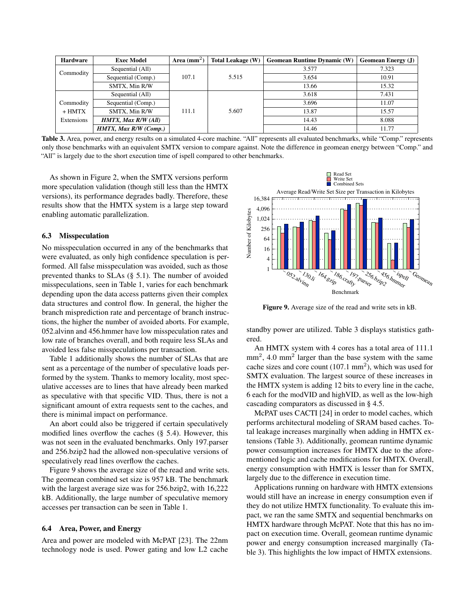| <b>Hardware</b> | <b>Exec Model</b>            | Area $(mm2)$ | <b>Total Leakage (W)</b> | <b>Geomean Runtime Dynamic (W)</b> | Geomean Energy $(J)$ |
|-----------------|------------------------------|--------------|--------------------------|------------------------------------|----------------------|
| Commodity       | Sequential (All)             |              | 5.515                    | 3.577                              | 7.323                |
|                 | Sequential (Comp.)           | 107.1        |                          | 3.654                              | 10.91                |
|                 | SMTX, Min R/W                |              |                          | 13.66                              | 15.32                |
|                 | Sequential (All)             |              | 5.607                    | 3.618                              | 7.431                |
| Commodity       | Sequential (Comp.)           |              |                          | 3.696                              | 11.07                |
| $+$ HMTX        | SMTX, Min R/W                | 111.1        |                          | 13.87                              | 15.57                |
| Extensions      | $HMTX$ , Max R/W (All)       |              |                          | 14.43                              | 8.088                |
|                 | <b>HMTX, Max R/W (Comp.)</b> |              |                          | 14.46                              | 11.77                |

Table 3. Area, power, and energy results on a simulated 4-core machine. "All" represents all evaluated benchmarks, while "Comp." represents only those benchmarks with an equivalent SMTX version to compare against. Note the difference in geomean energy between "Comp." and "All" is largely due to the short execution time of ispell compared to other benchmarks.

As shown in Figure 2, when the SMTX versions perform more speculation validation (though still less than the HMTX versions), its performance degrades badly. Therefore, these results show that the HMTX system is a large step toward enabling automatic parallelization.

#### 6.3 Misspeculation

No misspeculation occurred in any of the benchmarks that were evaluated, as only high confidence speculation is performed. All false misspeculation was avoided, such as those prevented thanks to SLAs (§ 5.1). The number of avoided misspeculations, seen in Table 1, varies for each benchmark depending upon the data access patterns given their complex data structures and control flow. In general, the higher the branch misprediction rate and percentage of branch instructions, the higher the number of avoided aborts. For example, 052.alvinn and 456.hmmer have low misspeculation rates and low rate of branches overall, and both require less SLAs and avoided less false misspeculations per transaction.

Table 1 additionally shows the number of SLAs that are sent as a percentage of the number of speculative loads performed by the system. Thanks to memory locality, most speculative accesses are to lines that have already been marked as speculative with that specific VID. Thus, there is not a significant amount of extra requests sent to the caches, and there is minimal impact on performance.

An abort could also be triggered if certain speculatively modified lines overflow the caches (§ 5.4). However, this was not seen in the evaluated benchmarks. Only 197.parser and 256.bzip2 had the allowed non-speculative versions of speculatively read lines overflow the caches.

Figure 9 shows the average size of the read and write sets. The geomean combined set size is 957 kB. The benchmark with the largest average size was for 256.bzip2, with 16,222 kB. Additionally, the large number of speculative memory accesses per transaction can be seen in Table 1.

#### 6.4 Area, Power, and Energy

Area and power are modeled with McPAT [23]. The 22nm technology node is used. Power gating and low L2 cache



Figure 9. Average size of the read and write sets in kB.

standby power are utilized. Table 3 displays statistics gathered.

An HMTX system with 4 cores has a total area of 111.1  $mm<sup>2</sup>$ , 4.0 mm<sup>2</sup> larger than the base system with the same cache sizes and core count  $(107.1 \text{ mm}^2)$ , which was used for SMTX evaluation. The largest source of these increases in the HMTX system is adding 12 bits to every line in the cache, 6 each for the modVID and highVID, as well as the low-high cascading comparators as discussed in § 4.5.

McPAT uses CACTI [24] in order to model caches, which performs architectural modeling of SRAM based caches. Total leakage increases marginally when adding in HMTX extensions (Table 3). Additionally, geomean runtime dynamic power consumption increases for HMTX due to the aforementioned logic and cache modifications for HMTX. Overall, energy consumption with HMTX is lesser than for SMTX, largely due to the difference in execution time.

Applications running on hardware with HMTX extensions would still have an increase in energy consumption even if they do not utilize HMTX functionality. To evaluate this impact, we ran the same SMTX and sequential benchmarks on HMTX hardware through McPAT. Note that this has no impact on execution time. Overall, geomean runtime dynamic power and energy consumption increased marginally (Table 3). This highlights the low impact of HMTX extensions.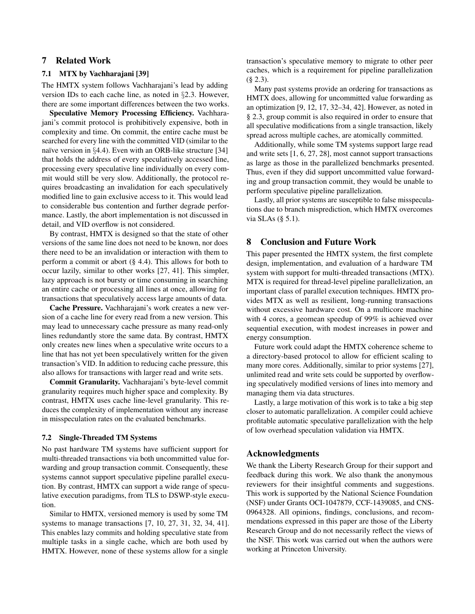# 7 Related Work

## 7.1 MTX by Vachharajani [39]

The HMTX system follows Vachharajani's lead by adding version IDs to each cache line, as noted in *§*2.3. However, there are some important differences between the two works.

Speculative Memory Processing Efficiency. Vachharajani's commit protocol is prohibitively expensive, both in complexity and time. On commit, the entire cache must be searched for every line with the committed VID (similar to the naïve version in §4.4). Even with an ORB-like structure [34] that holds the address of every speculatively accessed line, processing every speculative line individually on every commit would still be very slow. Additionally, the protocol requires broadcasting an invalidation for each speculatively modified line to gain exclusive access to it. This would lead to considerable bus contention and further degrade performance. Lastly, the abort implementation is not discussed in detail, and VID overflow is not considered.

By contrast, HMTX is designed so that the state of other versions of the same line does not need to be known, nor does there need to be an invalidation or interaction with them to perform a commit or abort  $(\S$  4.4). This allows for both to occur lazily, similar to other works [27, 41]. This simpler, lazy approach is not bursty or time consuming in searching an entire cache or processing all lines at once, allowing for transactions that speculatively access large amounts of data.

Cache Pressure. Vachharajani's work creates a new version of a cache line for every read from a new version. This may lead to unnecessary cache pressure as many read-only lines redundantly store the same data. By contrast, HMTX only creates new lines when a speculative write occurs to a line that has not yet been speculatively written for the given transaction's VID. In addition to reducing cache pressure, this also allows for transactions with larger read and write sets.

Commit Granularity. Vachharajani's byte-level commit granularity requires much higher space and complexity. By contrast, HMTX uses cache line-level granularity. This reduces the complexity of implementation without any increase in misspeculation rates on the evaluated benchmarks.

#### 7.2 Single-Threaded TM Systems

No past hardware TM systems have sufficient support for multi-threaded transactions via both uncommitted value forwarding and group transaction commit. Consequently, these systems cannot support speculative pipeline parallel execution. By contrast, HMTX can support a wide range of speculative execution paradigms, from TLS to DSWP-style execution.

Similar to HMTX, versioned memory is used by some TM systems to manage transactions [7, 10, 27, 31, 32, 34, 41]. This enables lazy commits and holding speculative state from multiple tasks in a single cache, which are both used by HMTX. However, none of these systems allow for a single

transaction's speculative memory to migrate to other peer caches, which is a requirement for pipeline parallelization (§ 2.3).

Many past systems provide an ordering for transactions as HMTX does, allowing for uncommitted value forwarding as an optimization [9, 12, 17, 32–34, 42]. However, as noted in § 2.3, group commit is also required in order to ensure that all speculative modifications from a single transaction, likely spread across multiple caches, are atomically committed.

Additionally, while some TM systems support large read and write sets [1, 6, 27, 28], most cannot support transactions as large as those in the parallelized benchmarks presented. Thus, even if they did support uncommitted value forwarding and group transaction commit, they would be unable to perform speculative pipeline parallelization.

Lastly, all prior systems are susceptible to false misspeculations due to branch misprediction, which HMTX overcomes via SLAs (§ 5.1).

# 8 Conclusion and Future Work

This paper presented the HMTX system, the first complete design, implementation, and evaluation of a hardware TM system with support for multi-threaded transactions (MTX). MTX is required for thread-level pipeline parallelization, an important class of parallel execution techniques. HMTX provides MTX as well as resilient, long-running transactions without excessive hardware cost. On a multicore machine with 4 cores, a geomean speedup of 99% is achieved over sequential execution, with modest increases in power and energy consumption.

Future work could adapt the HMTX coherence scheme to a directory-based protocol to allow for efficient scaling to many more cores. Additionally, similar to prior systems [27], unlimited read and write sets could be supported by overflowing speculatively modified versions of lines into memory and managing them via data structures.

Lastly, a large motivation of this work is to take a big step closer to automatic parallelization. A compiler could achieve profitable automatic speculative parallelization with the help of low overhead speculation validation via HMTX.

# Acknowledgments

We thank the Liberty Research Group for their support and feedback during this work. We also thank the anonymous reviewers for their insightful comments and suggestions. This work is supported by the National Science Foundation (NSF) under Grants OCI-1047879, CCF-1439085, and CNS-0964328. All opinions, findings, conclusions, and recommendations expressed in this paper are those of the Liberty Research Group and do not necessarily reflect the views of the NSF. This work was carried out when the authors were working at Princeton University.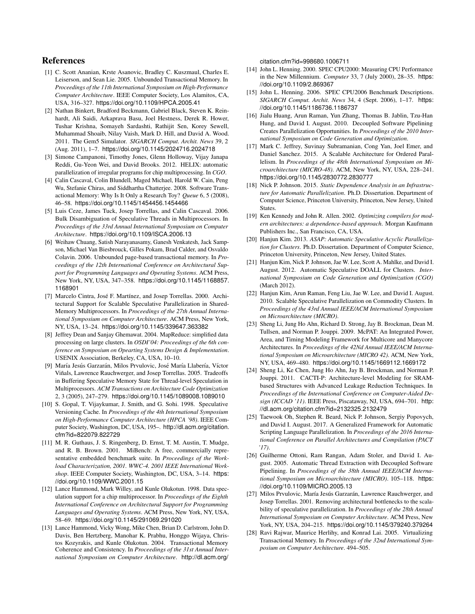# References

- [1] C. Scott Ananian, Krste Asanovic, Bradley C. Kuszmaul, Charles E. Leiserson, and Sean Lie. 2005. Unbounded Transactional Memory. In *Proceedings of the 11th International Symposium on High-Performance Computer Architecture*. IEEE Computer Society, Los Alamitos, CA, USA, 316–327. https://doi.org/10.1109/HPCA.2005.41
- [2] Nathan Binkert, Bradford Beckmann, Gabriel Black, Steven K. Reinhardt, Ali Saidi, Arkaprava Basu, Joel Hestness, Derek R. Hower, Tushar Krishna, Somayeh Sardashti, Rathijit Sen, Korey Sewell, Muhammad Shoaib, Nilay Vaish, Mark D. Hill, and David A. Wood. 2011. The Gem5 Simulator. *SIGARCH Comput. Archit. News* 39, 2 (Aug. 2011), 1–7. https://doi.org/10.1145/2024716.2024718
- [3] Simone Campanoni, Timothy Jones, Glenn Holloway, Vijay Janapa Reddi, Gu-Yeon Wei, and David Brooks. 2012. HELIX: automatic parallelization of irregular programs for chip multiprocessing. In *CGO*.
- [4] Calin Cascaval, Colin Blundell, Maged Michael, Harold W. Cain, Peng Wu, Stefanie Chiras, and Siddhartha Chatterjee. 2008. Software Transactional Memory: Why Is It Only a Research Toy? *Queue* 6, 5 (2008), 46–58. https://doi.org/10.1145/1454456.1454466
- [5] Luis Ceze, James Tuck, Josep Torrellas, and Calin Cascaval. 2006. Bulk Disambiguation of Speculative Threads in Multiprocessors. In *Proceedings of the 33rd Annual International Symposium on Computer Architecture*. https://doi.org/10.1109/ISCA.2006.13
- [6] Weihaw Chuang, Satish Narayanasamy, Ganesh Venkatesh, Jack Sampson, Michael Van Biesbrouck, Gilles Pokam, Brad Calder, and Osvaldo Colavin. 2006. Unbounded page-based transactional memory. In *Proceedings of the 12th International Conference on Architectural Support for Programming Languages and Operating Systems*. ACM Press, New York, NY, USA, 347–358. https://doi.org/10.1145/1168857. 1168901
- [7] Marcelo Cintra, José F. Martínez, and Josep Torrellas. 2000. Architectural Support for Scalable Speculative Parallelization in Shared-Memory Multiprocessors. In *Proceedings of the 27th Annual International Symposium on Computer Architecture*. ACM Press, New York, NY, USA, 13–24. https://doi.org/10.1145/339647.363382
- [8] Jeffrey Dean and Sanjay Ghemawat. 2004. MapReduce: simplified data processing on large clusters. In *OSDI'04: Proceedings of the 6th conference on Symposium on Opearting Systems Design & Implementation*. USENIX Association, Berkeley, CA, USA, 10–10.
- [9] María Jesús Garzarán, Milos Prvulovic, José María Llabería, Víctor Viñals, Lawrence Rauchwerger, and Josep Torrellas. 2005. Tradeoffs in Buffering Speculative Memory State for Thread-level Speculation in Multiprocessors. *ACM Transactions on Architecture Code Optimization* 2, 3 (2005), 247–279. https://doi.org/10.1145/1089008.1089010
- [10] S. Gopal, T. Vijaykumar, J. Smith, and G. Sohi. 1998. Speculative Versioning Cache. In *Proceedings of the 4th International Symposium on High-Performance Computer Architecture (HPCA '98)*. IEEE Computer Society, Washington, DC, USA, 195–. http://dl.acm.org/citation. cfm?id=822079.822729
- [11] M. R. Guthaus, J. S. Ringenberg, D. Ernst, T. M. Austin, T. Mudge, and R. B. Brown. 2001. MiBench: A free, commercially representative embedded benchmark suite. In *Proceedings of the Workload Characterization, 2001. WWC-4. 2001 IEEE International Workshop*. IEEE Computer Society, Washington, DC, USA, 3–14. https: //doi.org/10.1109/WWC.2001.15
- [12] Lance Hammond, Mark Willey, and Kunle Olukotun. 1998. Data speculation support for a chip multiprocessor. In *Proceedings of the Eighth International Conference on Architectural Support for Programming Languages and Operating Systems*. ACM Press, New York, NY, USA, 58–69. https://doi.org/10.1145/291069.291020
- [13] Lance Hammond, Vicky Wong, Mike Chen, Brian D. Carlstrom, John D. Davis, Ben Hertzberg, Manohar K. Prabhu, Honggo Wijaya, Christos Kozyrakis, and Kunle Olukotun. 2004. Transactional Memory Coherence and Consistency. In *Proceedings of the 31st Annual International Symposium on Computer Architecture*. http://dl.acm.org/

citation.cfm?id=998680.1006711

- [14] John L. Henning. 2000. SPEC CPU2000: Measuring CPU Performance in the New Millennium. *Computer* 33, 7 (July 2000), 28–35. https: //doi.org/10.1109/2.869367
- [15] John L. Henning. 2006. SPEC CPU2006 Benchmark Descriptions. *SIGARCH Comput. Archit. News* 34, 4 (Sept. 2006), 1–17. https: //doi.org/10.1145/1186736.1186737
- [16] Jialu Huang, Arun Raman, Yun Zhang, Thomas B. Jablin, Tzu-Han Hung, and David I. August. 2010. Decoupled Software Pipelining Creates Parallelization Opportunities. In *Proceedings of the 2010 International Symposium on Code Generation and Optimization*.
- [17] Mark C. Jeffrey, Suvinay Subramanian, Cong Yan, Joel Emer, and Daniel Sanchez. 2015. A Scalable Architecture for Ordered Parallelism. In *Proceedings of the 48th International Symposium on Microarchitecture (MICRO-48)*. ACM, New York, NY, USA, 228–241. https://doi.org/10.1145/2830772.2830777
- [18] Nick P. Johnson. 2015. *Static Dependence Analysis in an Infrastructure for Automatic Parallelization*. Ph.D. Dissertation. Department of Computer Science, Princeton University, Princeton, New Jersey, United States.
- [19] Ken Kennedy and John R. Allen. 2002. *Optimizing compilers for modern architectures: a dependence-based approach*. Morgan Kaufmann Publishers Inc., San Francisco, CA, USA.
- [20] Hanjun Kim. 2013. *ASAP: Automatic Speculative Acyclic Parallelization for Clusters*. Ph.D. Dissertation. Department of Computer Science, Princeton University, Princeton, New Jersey, United States.
- [21] Hanjun Kim, Nick P. Johnson, Jae W. Lee, Scott A. Mahlke, and David I. August. 2012. Automatic Speculative DOALL for Clusters. *International Symposium on Code Generation and Optimization (CGO)* (March 2012).
- [22] Hanjun Kim, Arun Raman, Feng Liu, Jae W. Lee, and David I. August. 2010. Scalable Speculative Parallelization on Commodity Clusters. In *Proceedings of the 43rd Annual IEEE/ACM International Symposium on Microarchitecture (MICRO)*.
- [23] Sheng Li, Jung Ho Ahn, Richard D. Strong, Jay B. Brockman, Dean M. Tullsen, and Norman P. Jouppi. 2009. McPAT: An Integrated Power, Area, and Timing Modeling Framework for Multicore and Manycore Architectures. In *Proceedings of the 42Nd Annual IEEE/ACM International Symposium on Microarchitecture (MICRO 42)*. ACM, New York, NY, USA, 469–480. https://doi.org/10.1145/1669112.1669172
- [24] Sheng Li, Ke Chen, Jung Ho Ahn, Jay B. Brockman, and Norman P. Jouppi. 2011. CACTI-P: Architecture-level Modeling for SRAMbased Structures with Advanced Leakage Reduction Techniques. In *Proceedings of the International Conference on Computer-Aided Design (ICCAD '11)*. IEEE Press, Piscataway, NJ, USA, 694–701. http: //dl.acm.org/citation.cfm?id=2132325.2132479
- [25] Taewook Oh, Stephen R. Beard, Nick P. Johnson, Sergiy Popovych, and David I. August. 2017. A Generalized Framework for Automatic Scripting Language Parallelization. In *Proceedings of the 2016 International Conference on Parallel Architectures and Compilation (PACT '17)*.
- [26] Guilherme Ottoni, Ram Rangan, Adam Stoler, and David I. August. 2005. Automatic Thread Extraction with Decoupled Software Pipelining. In *Proceedings of the 38th Annual IEEE/ACM International Symposium on Microarchitecture (MICRO)*. 105–118. https: //doi.org/10.1109/MICRO.2005.13
- [27] Milos Prvulovic, María Jesús Garzarán, Lawrence Rauchwerger, and Josep Torrellas. 2001. Removing architectural bottlenecks to the scalability of speculative parallelization. In *Proceedings of the 28th Annual International Symposium on Computer Architecture*. ACM Press, New York, NY, USA, 204–215. https://doi.org/10.1145/379240.379264
- [28] Ravi Rajwar, Maurice Herlihy, and Konrad Lai. 2005. Virtualizing Transactional Memory. In *Proceedings of the 32nd International Symposium on Computer Architecture*. 494–505.